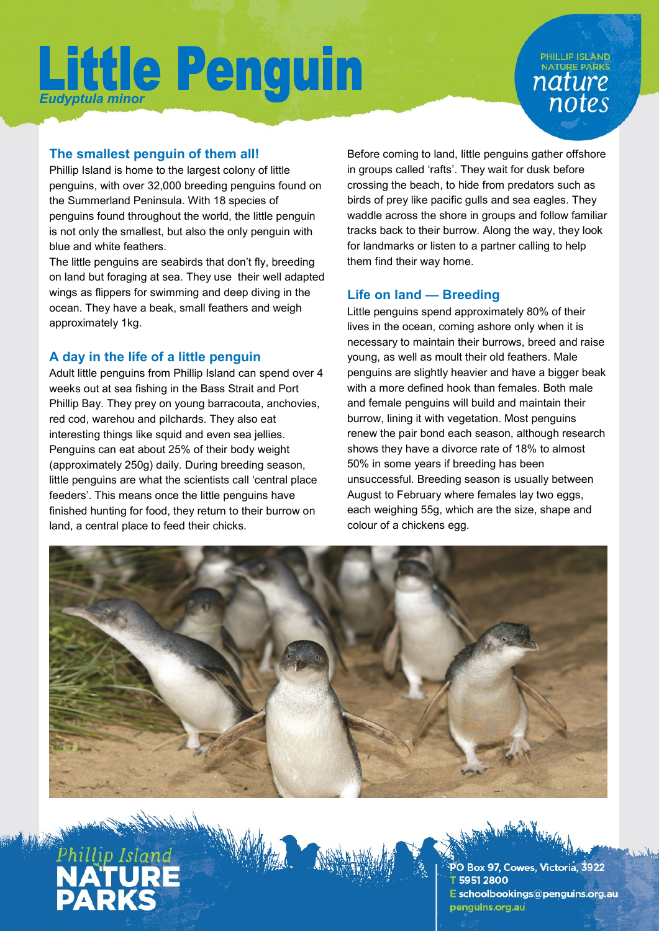### **PHILLIP ISLAND** NATURE PARKS nature notes

### **The smallest penguin of them all!**

Phillip Island is home to the largest colony of little penguins, with over 32,000 breeding penguins found on the Summerland Peninsula. With 18 species of penguins found throughout the world, the little penguin is not only the smallest, but also the only penguin with blue and white feathers.

The little penguins are seabirds that don't fly, breeding on land but foraging at sea. They use their well adapted wings as flippers for swimming and deep diving in the ocean. They have a beak, small feathers and weigh approximately 1kg.

### **A day in the life of a little penguin**

Adult little penguins from Phillip Island can spend over 4 weeks out at sea fishing in the Bass Strait and Port Phillip Bay. They prey on young barracouta, anchovies, red cod, warehou and pilchards. They also eat interesting things like squid and even sea jellies. Penguins can eat about 25% of their body weight (approximately 250g) daily. During breeding season, little penguins are what the scientists call 'central place feeders'. This means once the little penguins have finished hunting for food, they return to their burrow on land, a central place to feed their chicks.

Before coming to land, little penguins gather offshore in groups called 'rafts'. They wait for dusk before crossing the beach, to hide from predators such as birds of prey like pacific gulls and sea eagles. They waddle across the shore in groups and follow familiar tracks back to their burrow. Along the way, they look for landmarks or listen to a partner calling to help them find their way home.

### **Life on land — Breeding**

Little penguins spend approximately 80% of their lives in the ocean, coming ashore only when it is necessary to maintain their burrows, breed and raise young, as well as moult their old feathers. Male penguins are slightly heavier and have a bigger beak with a more defined hook than females. Both male and female penguins will build and maintain their burrow, lining it with vegetation. Most penguins renew the pair bond each season, although research shows they have a divorce rate of 18% to almost 50% in some years if breeding has been unsuccessful. Breeding season is usually between August to February where females lay two eggs, each weighing 55g, which are the size, shape and colour of a chickens egg.





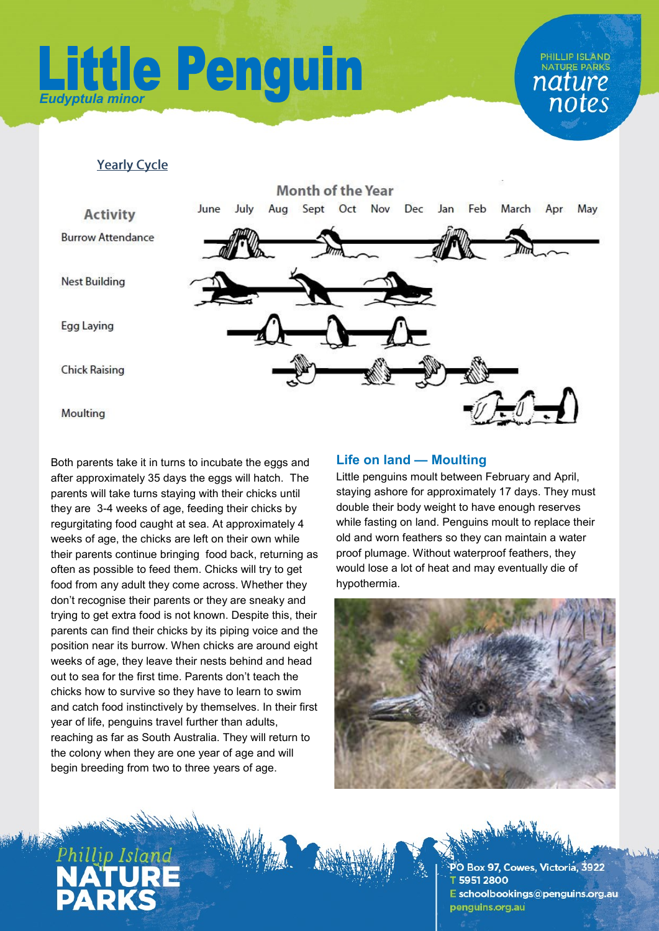### **PHILLIP ISLAND NATURE PARKS** nature notes

#### **Yearly Cycle**



Both parents take it in turns to incubate the eggs and after approximately 35 days the eggs will hatch. The parents will take turns staying with their chicks until they are 3-4 weeks of age, feeding their chicks by regurgitating food caught at sea. At approximately 4 weeks of age, the chicks are left on their own while their parents continue bringing food back, returning as often as possible to feed them. Chicks will try to get food from any adult they come across. Whether they don't recognise their parents or they are sneaky and trying to get extra food is not known. Despite this, their parents can find their chicks by its piping voice and the position near its burrow. When chicks are around eight weeks of age, they leave their nests behind and head out to sea for the first time. Parents don't teach the chicks how to survive so they have to learn to swim and catch food instinctively by themselves. In their first year of life, penguins travel further than adults, reaching as far as South Australia. They will return to the colony when they are one year of age and will begin breeding from two to three years of age.

### **Life on land — Moulting**

Little penguins moult between February and April, staying ashore for approximately 17 days. They must double their body weight to have enough reserves while fasting on land. Penguins moult to replace their old and worn feathers so they can maintain a water proof plumage. Without waterproof feathers, they would lose a lot of heat and may eventually die of hypothermia.





O Box 97, Cowes, Victoria, 3922 59512800 E schoolbookings@penguins.org.au penguins.org.au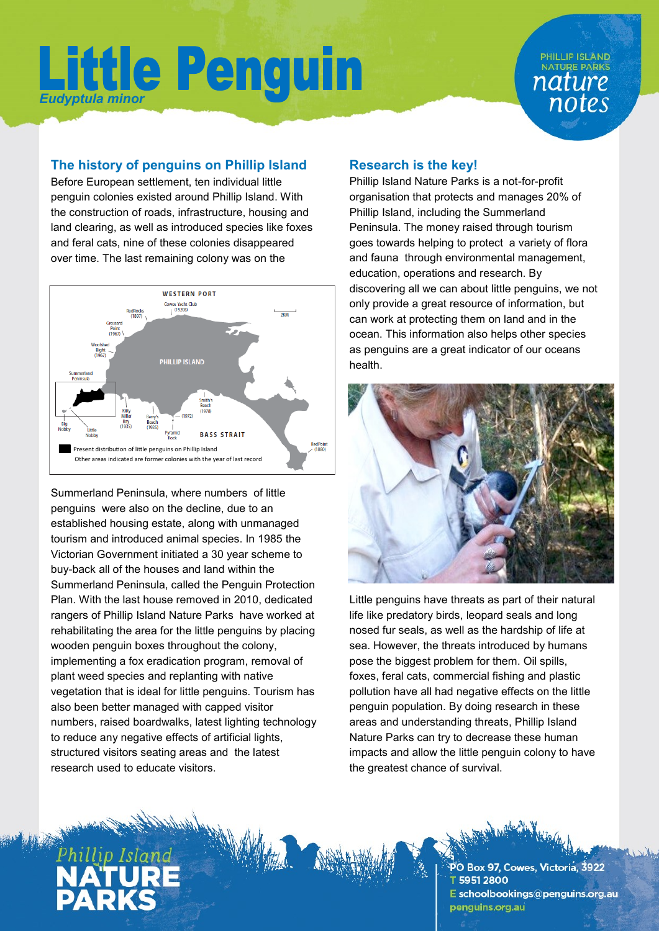### **PHILLIP ISLAND NATURE PARKS** nature notes

### **The history of penguins on Phillip Island**

Before European settlement, ten individual little penguin colonies existed around Phillip Island. With the construction of roads, infrastructure, housing and land clearing, as well as introduced species like foxes and feral cats, nine of these colonies disappeared over time. The last remaining colony was on the



Summerland Peninsula, where numbers of little penguins were also on the decline, due to an established housing estate, along with unmanaged tourism and introduced animal species. In 1985 the Victorian Government initiated a 30 year scheme to buy-back all of the houses and land within the Summerland Peninsula, called the Penguin Protection Plan. With the last house removed in 2010, dedicated rangers of Phillip Island Nature Parks have worked at rehabilitating the area for the little penguins by placing wooden penguin boxes throughout the colony, implementing a fox eradication program, removal of plant weed species and replanting with native vegetation that is ideal for little penguins. Tourism has also been better managed with capped visitor numbers, raised boardwalks, latest lighting technology to reduce any negative effects of artificial lights, structured visitors seating areas and the latest research used to educate visitors.

#### **Research is the key!**

Phillip Island Nature Parks is a not-for-profit organisation that protects and manages 20% of Phillip Island, including the Summerland Peninsula. The money raised through tourism goes towards helping to protect a variety of flora and fauna through environmental management, education, operations and research. By discovering all we can about little penguins, we not only provide a great resource of information, but can work at protecting them on land and in the ocean. This information also helps other species as penguins are a great indicator of our oceans health.



Little penguins have threats as part of their natural life like predatory birds, leopard seals and long nosed fur seals, as well as the hardship of life at sea. However, the threats introduced by humans pose the biggest problem for them. Oil spills, foxes, feral cats, commercial fishing and plastic pollution have all had negative effects on the little penguin population. By doing research in these areas and understanding threats, Phillip Island Nature Parks can try to decrease these human impacts and allow the little penguin colony to have the greatest chance of survival.

PO Box 97, Cowes, Victoria, 3922 59512800 E schoolbookings@penguins.org.au penguins.org.au